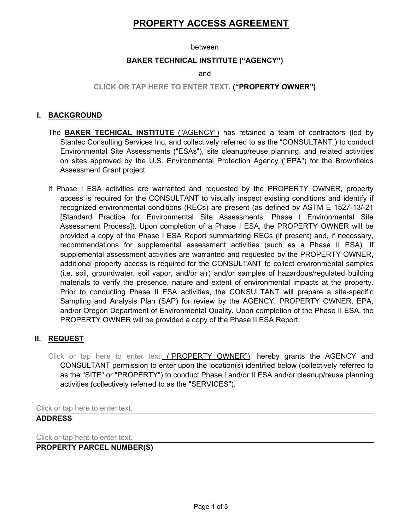# **PROPERTY ACCESS AGREEMENT**

#### between

#### **BAKER TECHNICAL INSTITUTE ("AGENCY")**

and

## **CLICK OR TAP HERE TO ENTER TEXT. ("PROPERTY OWNER")**

## **I. BACKGROUND**

- The **BAKER TECHICAL INSTITUTE** ("AGENCY") has retained a team of contractors (led by Stantec Consulting Services Inc. and collectively referred to as the "CONSULTANT") to conduct Environmental Site Assessments ("ESAs"), site cleanup/reuse planning, and related activities on sites approved by the U.S. Environmental Protection Agency ("EPA") for the Brownfields Assessment Grant project.
- If Phase I ESA activities are warranted and requested by the PROPERTY OWNER, property access is required for the CONSULTANT to visually inspect existing conditions and identify if recognized environmental conditions (RECs) are present (as defined by ASTM E 1527-13/-21 [Standard Practice for Environmental Site Assessments: Phase I Environmental Site Assessment Process]). Upon completion of a Phase I ESA, the PROPERTY OWNER will be provided a copy of the Phase I ESA Report summarizing RECs (if present) and, if necessary, recommendations for supplemental assessment activities (such as a Phase II ESA). If supplemental assessment activities are warranted and requested by the PROPERTY OWNER, additional property access is required for the CONSULTANT to collect environmental samples (i.e. soil, groundwater, soil vapor, and/or air) and/or samples of hazardous/regulated building materials to verify the presence, nature and extent of environmental impacts at the property. Prior to conducting Phase II ESA activities, the CONSULTANT will prepare a site-specific Sampling and Analysis Plan (SAP) for review by the AGENCY, PROPERTY OWNER, EPA, and/or Oregon Department of Environmental Quality. Upon completion of the Phase II ESA, the PROPERTY OWNER will be provided a copy of the Phase II ESA Report.

# **II. REQUEST**

Click or tap here to enter text. ("PROPERTY OWNER"), hereby grants the AGENCY and CONSULTANT permission to enter upon the location(s) identified below (collectively referred to as the "SITE" or "PROPERTY") to conduct Phase I and/or II ESA and/or cleanup/reuse planning activities (collectively referred to as the "SERVICES").

Click or tap here to enter text.

## **ADDRESS**

Click or tap here to enter text.

## **PROPERTY PARCEL NUMBER(S)**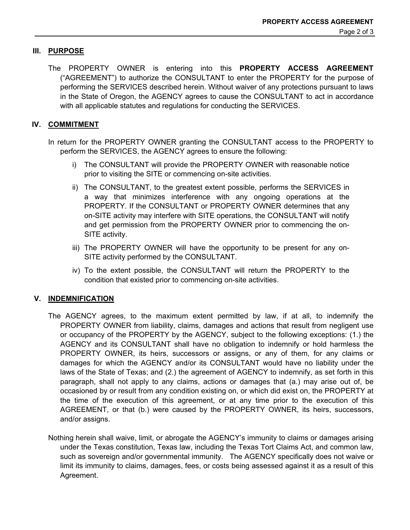## **III. PURPOSE**

The PROPERTY OWNER is entering into this **PROPERTY ACCESS AGREEMENT** ("AGREEMENT") to authorize the CONSULTANT to enter the PROPERTY for the purpose of performing the SERVICES described herein. Without waiver of any protections pursuant to laws in the State of Oregon, the AGENCY agrees to cause the CONSULTANT to act in accordance with all applicable statutes and regulations for conducting the SERVICES.

# **IV. COMMITMENT**

In return for the PROPERTY OWNER granting the CONSULTANT access to the PROPERTY to perform the SERVICES, the AGENCY agrees to ensure the following:

- i) The CONSULTANT will provide the PROPERTY OWNER with reasonable notice prior to visiting the SITE or commencing on-site activities.
- ii) The CONSULTANT, to the greatest extent possible, performs the SERVICES in a way that minimizes interference with any ongoing operations at the PROPERTY. If the CONSULTANT or PROPERTY OWNER determines that any on-SITE activity may interfere with SITE operations, the CONSULTANT will notify and get permission from the PROPERTY OWNER prior to commencing the on-SITE activity.
- iii) The PROPERTY OWNER will have the opportunity to be present for any on-SITE activity performed by the CONSULTANT.
- iv) To the extent possible, the CONSULTANT will return the PROPERTY to the condition that existed prior to commencing on-site activities.

## **V. INDEMNIFICATION**

- The AGENCY agrees, to the maximum extent permitted by law, if at all, to indemnify the PROPERTY OWNER from liability, claims, damages and actions that result from negligent use or occupancy of the PROPERTY by the AGENCY, subject to the following exceptions: (1.) the AGENCY and its CONSULTANT shall have no obligation to indemnify or hold harmless the PROPERTY OWNER, its heirs, successors or assigns, or any of them, for any claims or damages for which the AGENCY and/or its CONSULTANT would have no liability under the laws of the State of Texas; and (2.) the agreement of AGENCY to indemnify, as set forth in this paragraph, shall not apply to any claims, actions or damages that (a.) may arise out of, be occasioned by or result from any condition existing on, or which did exist on, the PROPERTY at the time of the execution of this agreement, or at any time prior to the execution of this AGREEMENT, or that (b.) were caused by the PROPERTY OWNER, its heirs, successors, and/or assigns.
- Nothing herein shall waive, limit, or abrogate the AGENCY's immunity to claims or damages arising under the Texas constitution, Texas law, including the Texas Tort Claims Act, and common law, such as sovereign and/or governmental immunity. The AGENCY specifically does not waive or limit its immunity to claims, damages, fees, or costs being assessed against it as a result of this Agreement.